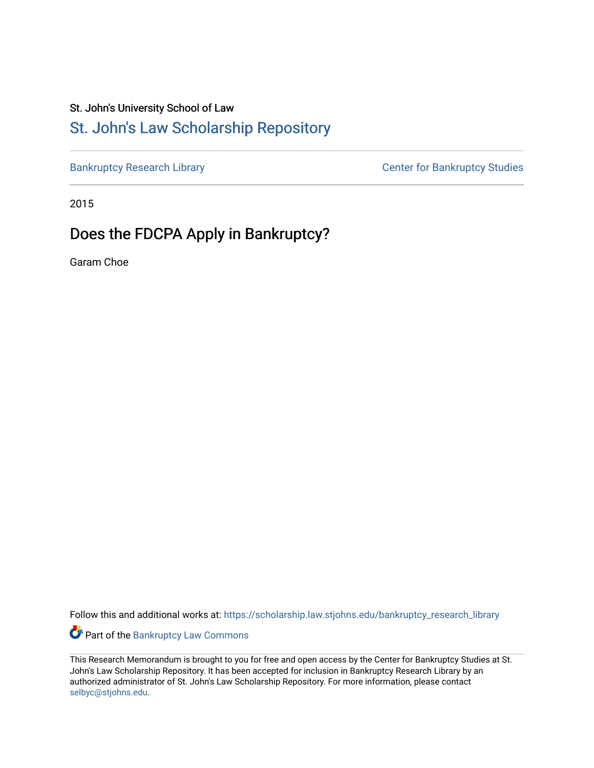# St. John's University School of Law

# [St. John's Law Scholarship Repository](https://scholarship.law.stjohns.edu/)

[Bankruptcy Research Library](https://scholarship.law.stjohns.edu/bankruptcy_research_library) **CENTER CENTER STANDARY CENTER CENTER STANDARY CENTER STANDARY CENTER STANDARY CENTER** 

2015

# Does the FDCPA Apply in Bankruptcy?

Garam Choe

Follow this and additional works at: [https://scholarship.law.stjohns.edu/bankruptcy\\_research\\_library](https://scholarship.law.stjohns.edu/bankruptcy_research_library?utm_source=scholarship.law.stjohns.edu%2Fbankruptcy_research_library%2F159&utm_medium=PDF&utm_campaign=PDFCoverPages) 

Part of the [Bankruptcy Law Commons](http://network.bepress.com/hgg/discipline/583?utm_source=scholarship.law.stjohns.edu%2Fbankruptcy_research_library%2F159&utm_medium=PDF&utm_campaign=PDFCoverPages) 

This Research Memorandum is brought to you for free and open access by the Center for Bankruptcy Studies at St. John's Law Scholarship Repository. It has been accepted for inclusion in Bankruptcy Research Library by an authorized administrator of St. John's Law Scholarship Repository. For more information, please contact [selbyc@stjohns.edu](mailto:selbyc@stjohns.edu).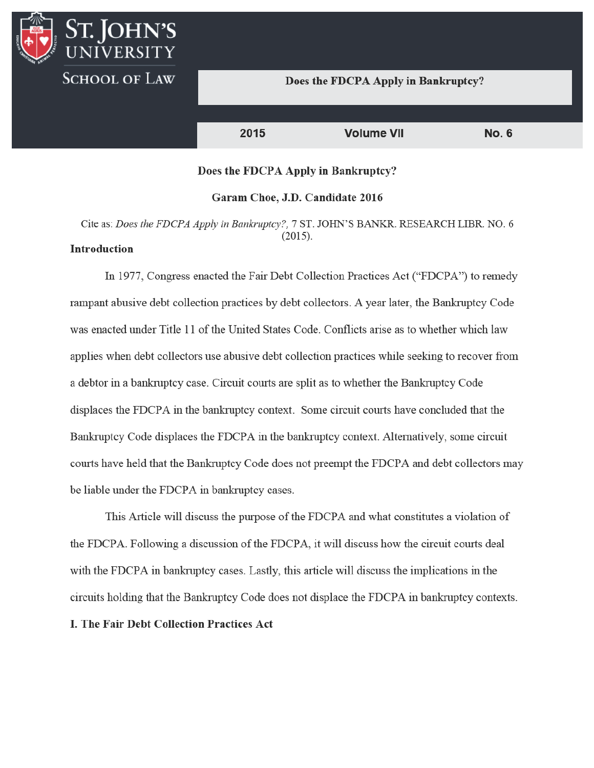## Does the FDCPA Apply in Bankruptcy?

2015 **Volume VII No. 6** 

## Does the FDCPA Apply in Bankruptcy?

#### Garam Choe, J.D. Candidate 2016

Cite as: Does the FDCPA Apply in Bankruptcy?, 7 ST. JOHN'S BANKR. RESEARCH LIBR. NO. 6  $(2015).$ 

# **Introduction**

I. IOHN'S

**SCHOOL OF LAW** 

In 1977, Congress enacted the Fair Debt Collection Practices Act ("FDCPA") to remedy rampant abusive debt collection practices by debt collectors. A year later, the Bankruptcy Code was enacted under Title 11 of the United States Code. Conflicts arise as to whether which law applies when debt collectors use abusive debt collection practices while seeking to recover from a debtor in a bankruptcy case. Circuit courts are split as to whether the Bankruptcy Code displaces the FDCPA in the bankruptcy context. Some circuit courts have concluded that the Bankruptcy Code displaces the FDCPA in the bankruptcy context. Alternatively, some circuit courts have held that the Bankruptcy Code does not preempt the FDCPA and debt collectors may be liable under the FDCPA in bankruptcy cases.

This Article will discuss the purpose of the FDCPA and what constitutes a violation of the FDCPA. Following a discussion of the FDCPA, it will discuss how the circuit courts deal with the FDCPA in bankruptcy cases. Lastly, this article will discuss the implications in the circuits holding that the Bankruptcy Code does not displace the FDCPA in bankruptcy contexts.

## I. The Fair Debt Collection Practices Act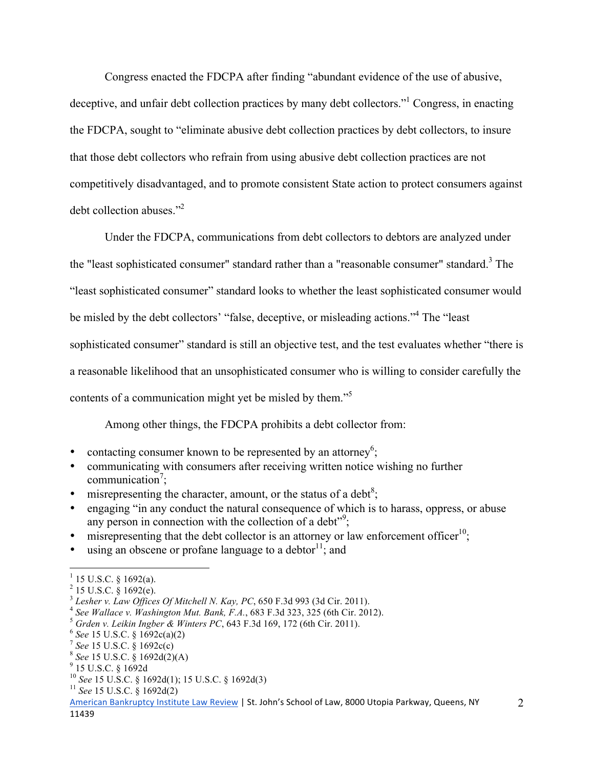Congress enacted the FDCPA after finding "abundant evidence of the use of abusive, deceptive, and unfair debt collection practices by many debt collectors." Congress, in enacting the FDCPA, sought to "eliminate abusive debt collection practices by debt collectors, to insure that those debt collectors who refrain from using abusive debt collection practices are not competitively disadvantaged, and to promote consistent State action to protect consumers against debt collection abuses."<sup>2</sup>

 Under the FDCPA, communications from debt collectors to debtors are analyzed under the "least sophisticated consumer" standard rather than a "reasonable consumer" standard.<sup>3</sup> The "least sophisticated consumer" standard looks to whether the least sophisticated consumer would be misled by the debt collectors' "false, deceptive, or misleading actions."<sup>4</sup> The "least sophisticated consumer" standard is still an objective test, and the test evaluates whether "there is a reasonable likelihood that an unsophisticated consumer who is willing to consider carefully the contents of a communication might yet be misled by them."<sup>5</sup>

Among other things, the FDCPA prohibits a debt collector from:

- contacting consumer known to be represented by an attorney<sup>6</sup>;
- communicating with consumers after receiving written notice wishing no further communication<sup>7</sup>;
- misrepresenting the character, amount, or the status of a debt<sup>8</sup>;
- engaging "in any conduct the natural consequence of which is to harass, oppress, or abuse any person in connection with the collection of a debt<sup> $29$ </sup>;
- misrepresenting that the debt collector is an attorney or law enforcement officer<sup>10</sup>;
- using an obscene or profane language to a debtor  $\frac{11}{1}$ ; and

 $\overline{a}$ 

 $1$  15 U.S.C. § 1692(a).

 $^{2}$  15 U.S.C.  $\frac{8}{9}$  1692(e).<br> $^{3}$  Lesher v. Law Offices Of Mitchell N. Kav. PC, 650 F.3d 993 (3d Cir. 2011).

<sup>&</sup>lt;sup>4</sup> See Wallace v. Washington Mut. Bank, F.A., 683 F.3d 323, 325 (6th Cir. 2012).<br>
<sup>5</sup> Grden v. Leikin Ingber & Winters PC, 643 F.3d 169, 172 (6th Cir. 2011).<br>
<sup>6</sup> See 15 U.S.C. § 1692c(a)(2)<br>
<sup>7</sup> See 15 U.S.C. § 1692c(c)

<sup>10</sup> *See* 15 U.S.C. § 1692d(1); 15 U.S.C. § 1692d(3) <sup>11</sup> *See* 15 U.S.C. § 1692d(2)

American Bankruptcy Institute Law Review | St. John's School of Law, 8000 Utopia Parkway, Queens, NY 11439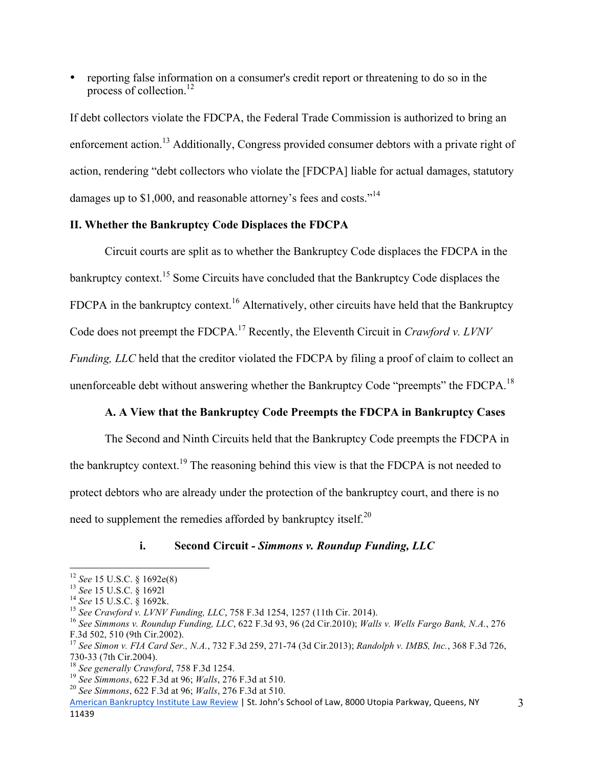• reporting false information on a consumer's credit report or threatening to do so in the process of collection. $^{12}$ 

If debt collectors violate the FDCPA, the Federal Trade Commission is authorized to bring an enforcement action.13 Additionally, Congress provided consumer debtors with a private right of action, rendering "debt collectors who violate the [FDCPA] liable for actual damages, statutory damages up to \$1,000, and reasonable attorney's fees and costs."<sup>14</sup>

# **II. Whether the Bankruptcy Code Displaces the FDCPA**

 Circuit courts are split as to whether the Bankruptcy Code displaces the FDCPA in the bankruptcy context.<sup>15</sup> Some Circuits have concluded that the Bankruptcy Code displaces the FDCPA in the bankruptcy context.<sup>16</sup> Alternatively, other circuits have held that the Bankruptcy Code does not preempt the FDCPA.<sup>17</sup> Recently, the Eleventh Circuit in *Crawford v. LVNV Funding, LLC* held that the creditor violated the FDCPA by filing a proof of claim to collect an unenforceable debt without answering whether the Bankruptcy Code "preempts" the FDCPA.<sup>18</sup>

# **A. A View that the Bankruptcy Code Preempts the FDCPA in Bankruptcy Cases**

 The Second and Ninth Circuits held that the Bankruptcy Code preempts the FDCPA in the bankruptcy context.<sup>19</sup> The reasoning behind this view is that the FDCPA is not needed to protect debtors who are already under the protection of the bankruptcy court, and there is no need to supplement the remedies afforded by bankruptcy itself. $^{20}$ 

**i. Second Circuit** *- Simmons v. Roundup Funding, LLC* 

 $12$  See 15 U.S.C. § 1692e(8)

<sup>&</sup>lt;sup>13</sup> See 15 U.S.C. § 16921<br><sup>14</sup> See 15 U.S.C. § 1692k.<br><sup>14</sup> See 15 U.S.C. § 1692k.<br><sup>15</sup> See Crawford v. LVNV Funding, LLC, 758 F.3d 1254, 1257 (11th Cir. 2014).<br><sup>16</sup> See Simmons v. Roundup Funding, LLC, 622 F.3d 93, 96 (2 F.3d 502, 510 (9th Cir.2002).

<sup>17</sup> *See Simon v. FIA Card Ser., N.A.*, 732 F.3d 259, 271-74 (3d Cir.2013); *Randolph v. IMBS, Inc.*, 368 F.3d 726,

<sup>&</sup>lt;sup>18</sup> See generally Crawford, 758 F.3d 1254.<br><sup>19</sup> See Simmons, 622 F.3d at 96; *Walls*, 276 F.3d at 510.<br><sup>20</sup> See Simmons, 622 F.3d at 96; *Walls*, 276 F.3d at 510.

American Bankruptcy Institute Law Review | St. John's School of Law, 8000 Utopia Parkway, Queens, NY 11439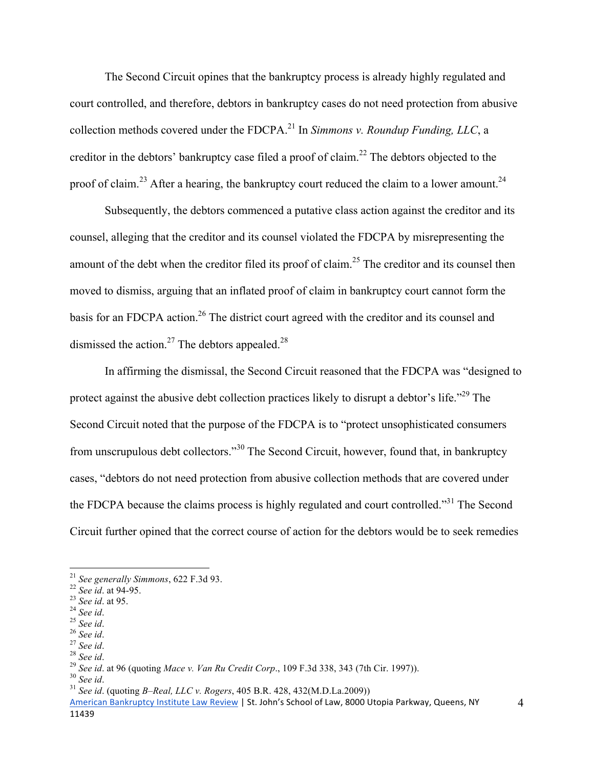The Second Circuit opines that the bankruptcy process is already highly regulated and court controlled, and therefore, debtors in bankruptcy cases do not need protection from abusive collection methods covered under the FDCPA.21 In *Simmons v. Roundup Funding, LLC*, a creditor in the debtors' bankruptcy case filed a proof of claim.<sup>22</sup> The debtors objected to the proof of claim.<sup>23</sup> After a hearing, the bankruptcy court reduced the claim to a lower amount.<sup>24</sup>

Subsequently, the debtors commenced a putative class action against the creditor and its counsel, alleging that the creditor and its counsel violated the FDCPA by misrepresenting the amount of the debt when the creditor filed its proof of claim.<sup>25</sup> The creditor and its counsel then moved to dismiss, arguing that an inflated proof of claim in bankruptcy court cannot form the basis for an FDCPA action.<sup>26</sup> The district court agreed with the creditor and its counsel and dismissed the action.<sup>27</sup> The debtors appealed.<sup>28</sup>

 In affirming the dismissal, the Second Circuit reasoned that the FDCPA was "designed to protect against the abusive debt collection practices likely to disrupt a debtor's life."29 The Second Circuit noted that the purpose of the FDCPA is to "protect unsophisticated consumers from unscrupulous debt collectors."30 The Second Circuit, however, found that, in bankruptcy cases, "debtors do not need protection from abusive collection methods that are covered under the FDCPA because the claims process is highly regulated and court controlled."<sup>31</sup> The Second Circuit further opined that the correct course of action for the debtors would be to seek remedies

<sup>&</sup>lt;sup>21</sup> See generally Simmons, 622 F.3d 93.

<sup>&</sup>lt;sup>21</sup> See generally Simmons, 622 F.3d 93.<br><sup>22</sup> See id. at 94-95.<br><sup>23</sup> See id. at 95.<br><sup>24</sup> See id.<br><sup>25</sup> See id.<br><sup>25</sup> See id.<br><sup>27</sup> See id.<br><sup>29</sup> See id. at 96 (quoting Mace v. Van Ru Credit Corp., 109 F.3d 338, 343 (7th Cir. 1

American Bankruptcy Institute Law Review | St. John's School of Law, 8000 Utopia Parkway, Queens, NY 11439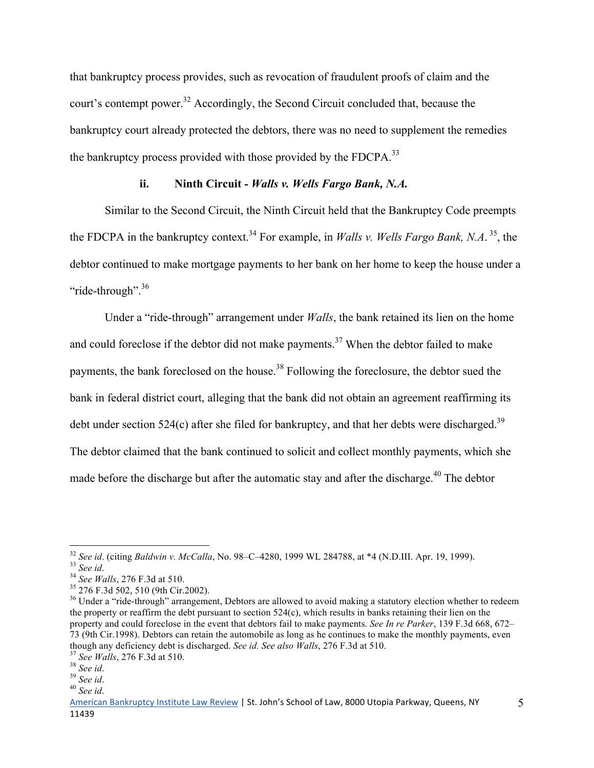that bankruptcy process provides, such as revocation of fraudulent proofs of claim and the court's contempt power.<sup>32</sup> Accordingly, the Second Circuit concluded that, because the bankruptcy court already protected the debtors, there was no need to supplement the remedies the bankruptcy process provided with those provided by the FDCPA.<sup>33</sup>

# **ii. Ninth Circuit** *- Walls v. Wells Fargo Bank, N.A.*

Similar to the Second Circuit, the Ninth Circuit held that the Bankruptcy Code preempts the FDCPA in the bankruptcy context.<sup>34</sup> For example, in *Walls v. Wells Fargo Bank*, *N.A.*<sup>35</sup>, the debtor continued to make mortgage payments to her bank on her home to keep the house under a "ride-through".<sup>36</sup>

Under a "ride-through" arrangement under *Walls*, the bank retained its lien on the home and could foreclose if the debtor did not make payments.<sup>37</sup> When the debtor failed to make payments, the bank foreclosed on the house.<sup>38</sup> Following the foreclosure, the debtor sued the bank in federal district court, alleging that the bank did not obtain an agreement reaffirming its debt under section 524 $(c)$  after she filed for bankruptcy, and that her debts were discharged.<sup>39</sup> The debtor claimed that the bank continued to solicit and collect monthly payments, which she made before the discharge but after the automatic stay and after the discharge.<sup>40</sup> The debtor

<sup>&</sup>lt;sup>32</sup> See id. (citing Baldwin v. McCalla, No. 98–C–4280, 1999 WL 284788, at \*4 (N.D.III. Apr. 19, 1999).

<sup>&</sup>lt;sup>33</sup> See id.<br><sup>34</sup> See Walls, 276 F.3d at 510.<br><sup>35</sup> 276 F.3d 502, 510 (9th Cir.2002).<br><sup>36</sup> Under a "ride-through" arrangement, Debtors are allowed to avoid making a statutory election whether to redeem the property or reaffirm the debt pursuant to section 524(c), which results in banks retaining their lien on the property and could foreclose in the event that debtors fail to make payments. *See In re Parker*, 139 F.3d 668, 672– 73 (9th Cir.1998). Debtors can retain the automobile as long as he continues to make the monthly payments, even though any deficiency debt is discharged. *See id. See also Walls*, 276 F.3d at 510.<br><sup>37</sup> *See Walls*, 276 F.3d at 510.<br><sup>38</sup> *See id.*<br><sup>40</sup> *See id.* 

American Bankruptcy Institute Law Review | St. John's School of Law, 8000 Utopia Parkway, Queens, NY 11439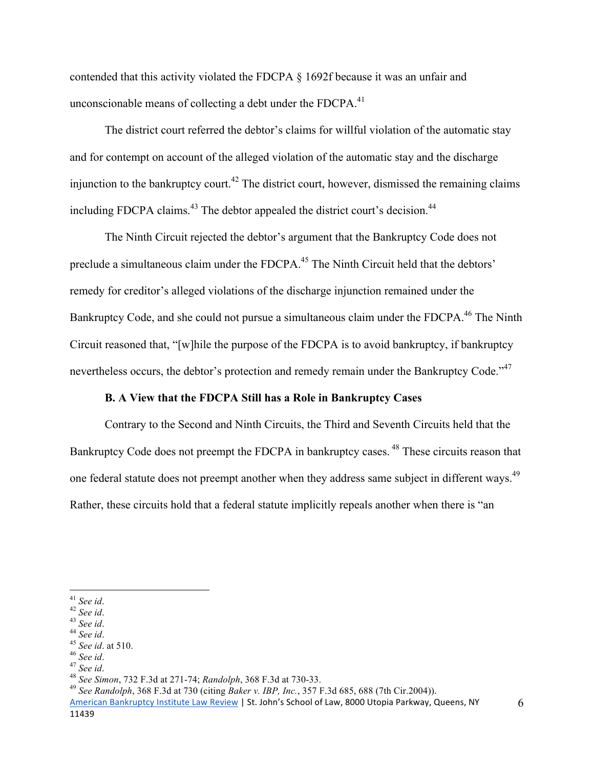contended that this activity violated the FDCPA § 1692f because it was an unfair and unconscionable means of collecting a debt under the  $FDCPA<sub>1</sub><sup>41</sup>$ 

The district court referred the debtor's claims for willful violation of the automatic stay and for contempt on account of the alleged violation of the automatic stay and the discharge injunction to the bankruptcy court.<sup>42</sup> The district court, however, dismissed the remaining claims including FDCPA claims.<sup>43</sup> The debtor appealed the district court's decision.<sup>44</sup>

The Ninth Circuit rejected the debtor's argument that the Bankruptcy Code does not preclude a simultaneous claim under the FDCPA.<sup>45</sup> The Ninth Circuit held that the debtors' remedy for creditor's alleged violations of the discharge injunction remained under the Bankruptcy Code, and she could not pursue a simultaneous claim under the FDCPA.<sup>46</sup> The Ninth Circuit reasoned that, "[w]hile the purpose of the FDCPA is to avoid bankruptcy, if bankruptcy nevertheless occurs, the debtor's protection and remedy remain under the Bankruptcy Code."<sup>47</sup>

### **B. A View that the FDCPA Still has a Role in Bankruptcy Cases**

 Contrary to the Second and Ninth Circuits, the Third and Seventh Circuits held that the Bankruptcy Code does not preempt the FDCPA in bankruptcy cases.<sup>48</sup> These circuits reason that one federal statute does not preempt another when they address same subject in different ways.<sup>49</sup> Rather, these circuits hold that a federal statute implicitly repeals another when there is "an

 $\overline{a}$ 

<sup>41</sup> See id.<br>
<sup>42</sup> See id.<br>
<sup>43</sup> See id.<br>
<sup>44</sup> See id.<br>
<sup>45</sup> See id.<br>
<sup>45</sup> See id.<br>
<sup>45</sup> See id.<br>
<sup>45</sup> See id.<br>
<sup>47</sup> See id.<br>
<sup>47</sup> See id.<br>
<sup>48</sup> See id.<br>
<sup>48</sup> See Simon, 732 F.3d at 271-74; *Randolph*, 368 F.3d at 730-33.

American Bankruptcy Institute Law Review | St. John's School of Law, 8000 Utopia Parkway, Queens, NY 11439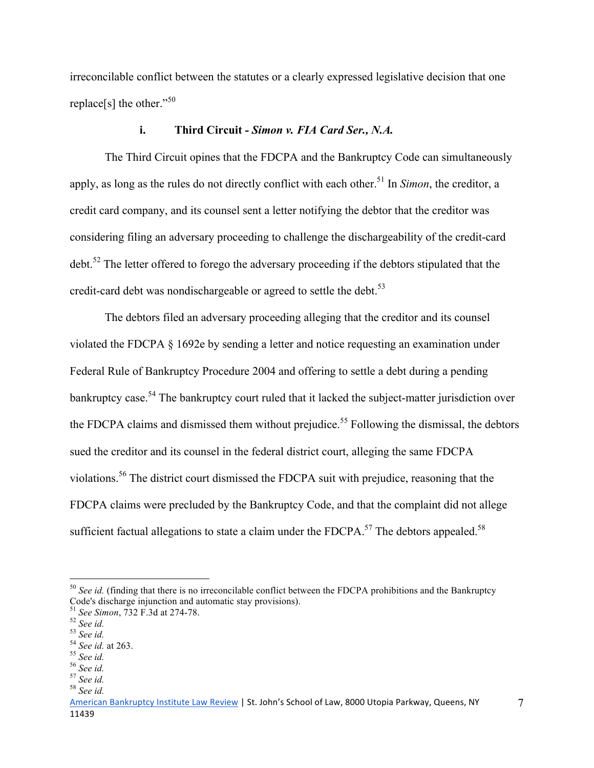irreconcilable conflict between the statutes or a clearly expressed legislative decision that one replace[s] the other."<sup>50</sup>

# **i. Third Circuit** *- Simon v. FIA Card Ser., N.A.*

The Third Circuit opines that the FDCPA and the Bankruptcy Code can simultaneously apply, as long as the rules do not directly conflict with each other.<sup>51</sup> In *Simon*, the creditor, a credit card company, and its counsel sent a letter notifying the debtor that the creditor was considering filing an adversary proceeding to challenge the dischargeability of the credit-card debt.<sup>52</sup> The letter offered to forego the adversary proceeding if the debtors stipulated that the credit-card debt was nondischargeable or agreed to settle the debt.<sup>53</sup>

The debtors filed an adversary proceeding alleging that the creditor and its counsel violated the FDCPA § 1692e by sending a letter and notice requesting an examination under Federal Rule of Bankruptcy Procedure 2004 and offering to settle a debt during a pending bankruptcy case.<sup>54</sup> The bankruptcy court ruled that it lacked the subject-matter jurisdiction over the FDCPA claims and dismissed them without prejudice.<sup>55</sup> Following the dismissal, the debtors sued the creditor and its counsel in the federal district court, alleging the same FDCPA violations.56 The district court dismissed the FDCPA suit with prejudice, reasoning that the FDCPA claims were precluded by the Bankruptcy Code, and that the complaint did not allege sufficient factual allegations to state a claim under the  $FDCPA$ <sup>57</sup>. The debtors appealed.<sup>58</sup>

<u>.</u>

<sup>&</sup>lt;sup>50</sup> See id. (finding that there is no irreconcilable conflict between the FDCPA prohibitions and the Bankruptcy Code's discharge injunction and automatic stay provisions).

<sup>51</sup> *See Simon*, 732 F.3d at 274-78. <sup>52</sup> *See id.* <sup>53</sup> *See id.* <sup>54</sup> *See id.* at 263. <sup>55</sup> *See id.* <sup>56</sup> *See id.* <sup>57</sup> *See id.* <sup>58</sup> *See id.*

American Bankruptcy Institute Law Review | St. John's School of Law, 8000 Utopia Parkway, Queens, NY 11439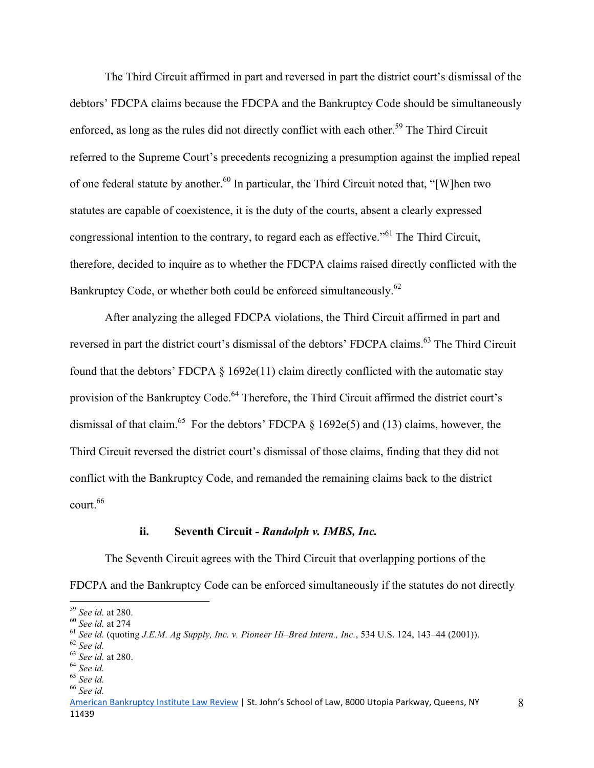The Third Circuit affirmed in part and reversed in part the district court's dismissal of the debtors' FDCPA claims because the FDCPA and the Bankruptcy Code should be simultaneously enforced, as long as the rules did not directly conflict with each other.<sup>59</sup> The Third Circuit referred to the Supreme Court's precedents recognizing a presumption against the implied repeal of one federal statute by another.<sup>60</sup> In particular, the Third Circuit noted that, "[W]hen two statutes are capable of coexistence, it is the duty of the courts, absent a clearly expressed congressional intention to the contrary, to regard each as effective."<sup>61</sup> The Third Circuit, therefore, decided to inquire as to whether the FDCPA claims raised directly conflicted with the Bankruptcy Code, or whether both could be enforced simultaneously.<sup>62</sup>

After analyzing the alleged FDCPA violations, the Third Circuit affirmed in part and reversed in part the district court's dismissal of the debtors' FDCPA claims.<sup>63</sup> The Third Circuit found that the debtors' FDCPA  $\S$  1692e(11) claim directly conflicted with the automatic stay provision of the Bankruptcy Code.<sup>64</sup> Therefore, the Third Circuit affirmed the district court's dismissal of that claim.<sup>65</sup> For the debtors' FDCPA  $\S$  1692e(5) and (13) claims, however, the Third Circuit reversed the district court's dismissal of those claims, finding that they did not conflict with the Bankruptcy Code, and remanded the remaining claims back to the district court.<sup>66</sup>

### **ii. Seventh Circuit** *- Randolph v. IMBS, Inc.*

The Seventh Circuit agrees with the Third Circuit that overlapping portions of the FDCPA and the Bankruptcy Code can be enforced simultaneously if the statutes do not directly

 $59$  See id. at 280.

<sup>&</sup>lt;sup>60</sup> See id. at 274<br>
<sup>61</sup> See id. (quoting J.E.M. Ag Supply, Inc. v. Pioneer Hi–Bred Intern., Inc., 534 U.S. 124, 143–44 (2001)).<br>
<sup>62</sup> See id.<br>
<sup>63</sup> See id. at 280.<br>
<sup>64</sup> See id.<br>
<sup>65</sup> See id.<br>
<sup>65</sup> See id.<br>
<sup>66</sup> See id.

American Bankruptcy Institute Law Review | St. John's School of Law, 8000 Utopia Parkway, Queens, NY 11439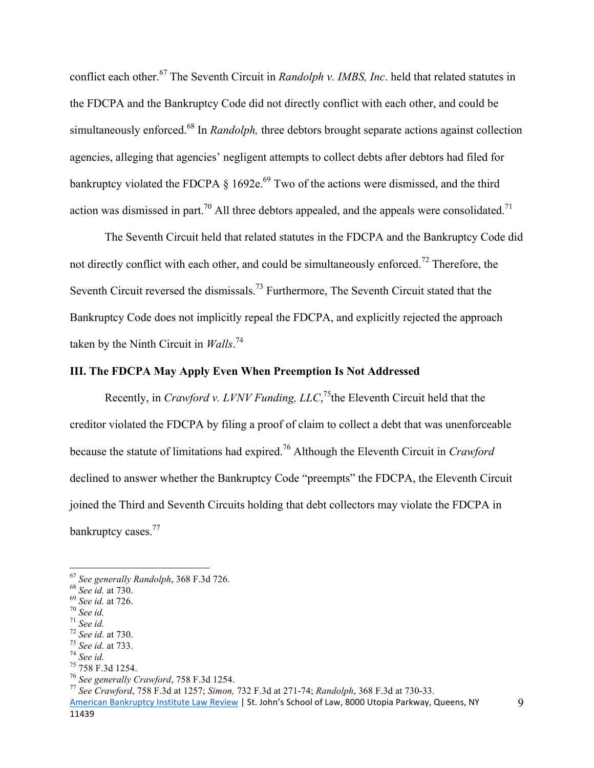conflict each other.67 The Seventh Circuit in *Randolph v. IMBS, Inc*. held that related statutes in the FDCPA and the Bankruptcy Code did not directly conflict with each other, and could be simultaneously enforced.<sup>68</sup> In *Randolph*, three debtors brought separate actions against collection agencies, alleging that agencies' negligent attempts to collect debts after debtors had filed for bankruptcy violated the FDCPA  $\S$  1692e.<sup>69</sup> Two of the actions were dismissed, and the third action was dismissed in part.<sup>70</sup> All three debtors appealed, and the appeals were consolidated.<sup>71</sup>

The Seventh Circuit held that related statutes in the FDCPA and the Bankruptcy Code did not directly conflict with each other, and could be simultaneously enforced.<sup>72</sup> Therefore, the Seventh Circuit reversed the dismissals.<sup>73</sup> Furthermore, The Seventh Circuit stated that the Bankruptcy Code does not implicitly repeal the FDCPA, and explicitly rejected the approach taken by the Ninth Circuit in *Walls*. 74

# **III. The FDCPA May Apply Even When Preemption Is Not Addressed**

Recently, in *Crawford v. LVNV Funding, LLC*,<sup>75</sup>the Eleventh Circuit held that the creditor violated the FDCPA by filing a proof of claim to collect a debt that was unenforceable because the statute of limitations had expired.76 Although the Eleventh Circuit in *Crawford* declined to answer whether the Bankruptcy Code "preempts" the FDCPA, the Eleventh Circuit joined the Third and Seventh Circuits holding that debt collectors may violate the FDCPA in bankruptcy cases.<sup>77</sup>

<sup>67</sup> See generally Randolph, 368 F.3d 726.<br><sup>68</sup> See id. at 730.<br><sup>69</sup> See id. at 726.<br><sup>70</sup> See id.<br><sup>71</sup> See id.<br><sup>72</sup> See id. at 733.<br><sup>74</sup> See id. at 733.<br><sup>74</sup> See generally Crawford, 758 F.3d 1254.<br><sup>76</sup> See generally Crawfo

<sup>&</sup>lt;sup>67</sup> See generally Randolph, 368 F.3d 726.

American Bankruptcy Institute Law Review | St. John's School of Law, 8000 Utopia Parkway, Queens, NY 11439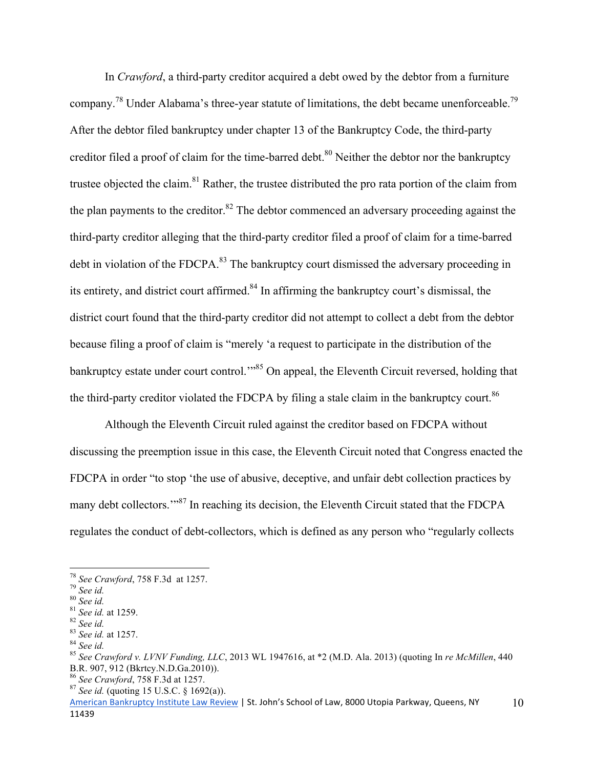In *Crawford*, a third-party creditor acquired a debt owed by the debtor from a furniture company.<sup>78</sup> Under Alabama's three-year statute of limitations, the debt became unenforceable.<sup>79</sup> After the debtor filed bankruptcy under chapter 13 of the Bankruptcy Code, the third-party creditor filed a proof of claim for the time-barred debt.<sup>80</sup> Neither the debtor nor the bankruptcy trustee objected the claim.81 Rather, the trustee distributed the pro rata portion of the claim from the plan payments to the creditor. $82$  The debtor commenced an adversary proceeding against the third-party creditor alleging that the third-party creditor filed a proof of claim for a time-barred debt in violation of the FDCPA.<sup>83</sup> The bankruptcy court dismissed the adversary proceeding in its entirety, and district court affirmed.<sup>84</sup> In affirming the bankruptcy court's dismissal, the district court found that the third-party creditor did not attempt to collect a debt from the debtor because filing a proof of claim is "merely 'a request to participate in the distribution of the bankruptcy estate under court control.<sup>"85</sup> On appeal, the Eleventh Circuit reversed, holding that the third-party creditor violated the FDCPA by filing a stale claim in the bankruptcy court.<sup>86</sup>

 Although the Eleventh Circuit ruled against the creditor based on FDCPA without discussing the preemption issue in this case, the Eleventh Circuit noted that Congress enacted the FDCPA in order "to stop 'the use of abusive, deceptive, and unfair debt collection practices by many debt collectors."<sup>87</sup> In reaching its decision, the Eleventh Circuit stated that the FDCPA regulates the conduct of debt-collectors, which is defined as any person who "regularly collects

<sup>&</sup>lt;sup>78</sup> See Crawford, 758 F.3d at 1257.

<sup>&</sup>lt;sup>79</sup> See id.<br><sup>81</sup> See id.<br><sup>81</sup> See id. at 1259.<br><sup>82</sup> See id. at 1257.<br><sup>84</sup> See id. at 1257.<br><sup>84</sup> See id.<br><sup>85</sup> See Crawford v. LVNV Funding, LLC, 2013 WL 1947616, at \*2 (M.D. Ala. 2013) (quoting In re McMillen, 440 B.R. 907, 912 (Bkrtcy.N.D.Ga.2010)).<br><sup>86</sup> See Crawford, 758 F.3d at 1257.

<sup>&</sup>lt;sup>87</sup> See id. (quoting 15 U.S.C. § 1692(a)).

American Bankruptcy Institute Law Review | St. John's School of Law, 8000 Utopia Parkway, Queens, NY 11439 10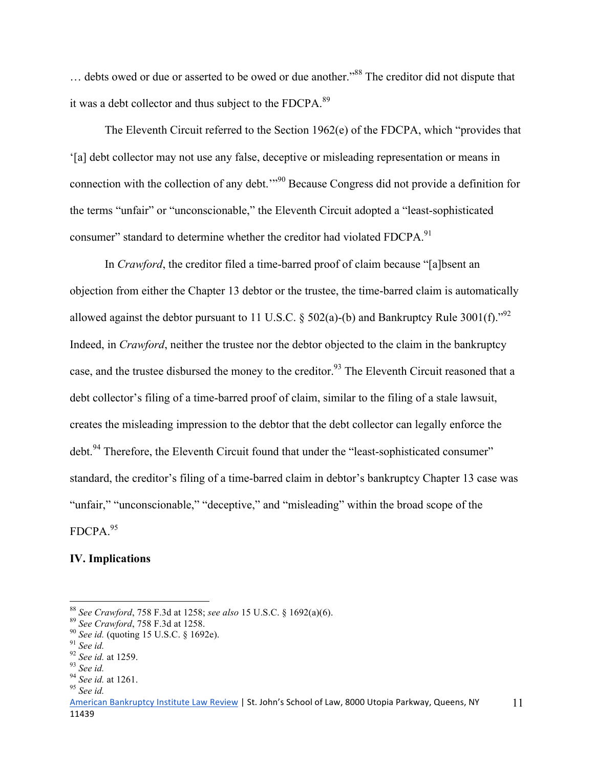... debts owed or due or asserted to be owed or due another."<sup>88</sup> The creditor did not dispute that it was a debt collector and thus subject to the FDCPA.<sup>89</sup>

 The Eleventh Circuit referred to the Section 1962(e) of the FDCPA, which "provides that '[a] debt collector may not use any false, deceptive or misleading representation or means in connection with the collection of any debt.'"90 Because Congress did not provide a definition for the terms "unfair" or "unconscionable," the Eleventh Circuit adopted a "least-sophisticated consumer" standard to determine whether the creditor had violated FDCPA.<sup>91</sup>

 In *Crawford*, the creditor filed a time-barred proof of claim because "[a]bsent an objection from either the Chapter 13 debtor or the trustee, the time-barred claim is automatically allowed against the debtor pursuant to 11 U.S.C.  $\S$  502(a)-(b) and Bankruptcy Rule 3001(f).<sup>"92</sup> Indeed, in *Crawford*, neither the trustee nor the debtor objected to the claim in the bankruptcy case, and the trustee disbursed the money to the creditor.<sup>93</sup> The Eleventh Circuit reasoned that a debt collector's filing of a time-barred proof of claim, similar to the filing of a stale lawsuit, creates the misleading impression to the debtor that the debt collector can legally enforce the debt.<sup>94</sup> Therefore, the Eleventh Circuit found that under the "least-sophisticated consumer" standard, the creditor's filing of a time-barred claim in debtor's bankruptcy Chapter 13 case was "unfair," "unconscionable," "deceptive," and "misleading" within the broad scope of the FDCPA.95

### **IV. Implications**

 $\overline{a}$ 

<sup>&</sup>lt;sup>88</sup> *See Crawford*, 758 F.3d at 1258; *see also* 15 U.S.C. § 1692(a)(6).<br><sup>89</sup> *See Crawford*, 758 F.3d at 1258.<br><sup>90</sup> *See id.* (quoting 15 U.S.C. § 1692e).<br><sup>91</sup> *See id.*<br><sup>92</sup> *See id.* at 1259.<br><sup>93</sup> *See id.* at 1261.<br><sup></sup>

American Bankruptcy Institute Law Review | St. John's School of Law, 8000 Utopia Parkway, Queens, NY 11439 11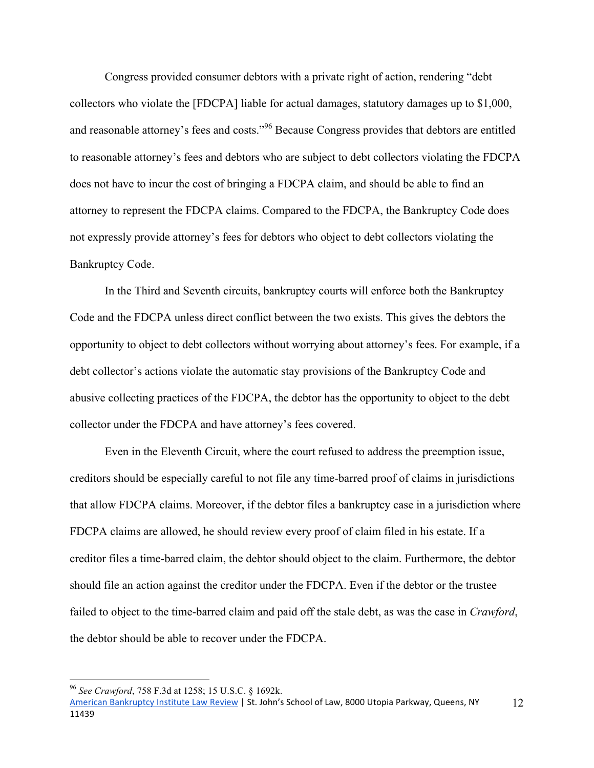Congress provided consumer debtors with a private right of action, rendering "debt collectors who violate the [FDCPA] liable for actual damages, statutory damages up to \$1,000, and reasonable attorney's fees and costs."<sup>96</sup> Because Congress provides that debtors are entitled to reasonable attorney's fees and debtors who are subject to debt collectors violating the FDCPA does not have to incur the cost of bringing a FDCPA claim, and should be able to find an attorney to represent the FDCPA claims. Compared to the FDCPA, the Bankruptcy Code does not expressly provide attorney's fees for debtors who object to debt collectors violating the Bankruptcy Code.

 In the Third and Seventh circuits, bankruptcy courts will enforce both the Bankruptcy Code and the FDCPA unless direct conflict between the two exists. This gives the debtors the opportunity to object to debt collectors without worrying about attorney's fees. For example, if a debt collector's actions violate the automatic stay provisions of the Bankruptcy Code and abusive collecting practices of the FDCPA, the debtor has the opportunity to object to the debt collector under the FDCPA and have attorney's fees covered.

 Even in the Eleventh Circuit, where the court refused to address the preemption issue, creditors should be especially careful to not file any time-barred proof of claims in jurisdictions that allow FDCPA claims. Moreover, if the debtor files a bankruptcy case in a jurisdiction where FDCPA claims are allowed, he should review every proof of claim filed in his estate. If a creditor files a time-barred claim, the debtor should object to the claim. Furthermore, the debtor should file an action against the creditor under the FDCPA. Even if the debtor or the trustee failed to object to the time-barred claim and paid off the stale debt, as was the case in *Crawford*, the debtor should be able to recover under the FDCPA.

 $\overline{a}$ 

<sup>96</sup> *See Crawford*, 758 F.3d at 1258; 15 U.S.C. § 1692k.

American Bankruptcy Institute Law Review | St. John's School of Law, 8000 Utopia Parkway, Queens, NY 11439 12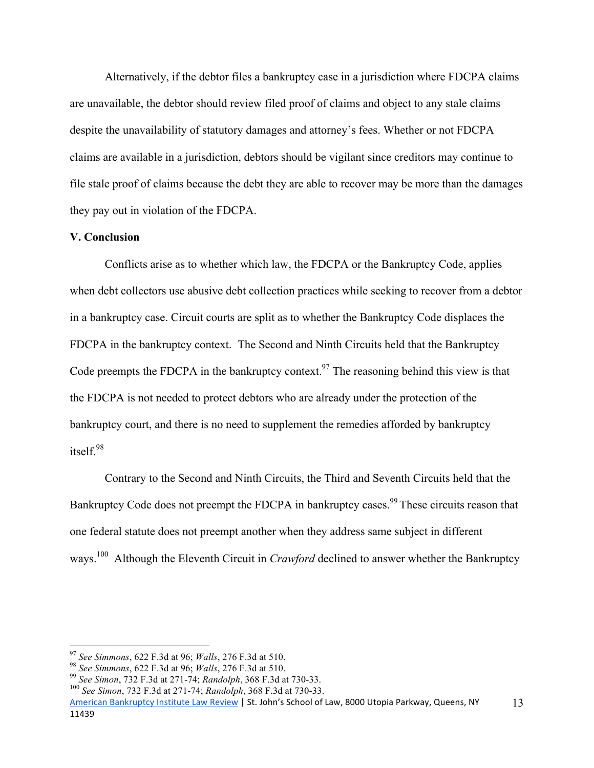Alternatively, if the debtor files a bankruptcy case in a jurisdiction where FDCPA claims are unavailable, the debtor should review filed proof of claims and object to any stale claims despite the unavailability of statutory damages and attorney's fees. Whether or not FDCPA claims are available in a jurisdiction, debtors should be vigilant since creditors may continue to file stale proof of claims because the debt they are able to recover may be more than the damages they pay out in violation of the FDCPA.

## **V. Conclusion**

 Conflicts arise as to whether which law, the FDCPA or the Bankruptcy Code, applies when debt collectors use abusive debt collection practices while seeking to recover from a debtor in a bankruptcy case. Circuit courts are split as to whether the Bankruptcy Code displaces the FDCPA in the bankruptcy context. The Second and Ninth Circuits held that the Bankruptcy Code preempts the FDCPA in the bankruptcy context.<sup>97</sup> The reasoning behind this view is that the FDCPA is not needed to protect debtors who are already under the protection of the bankruptcy court, and there is no need to supplement the remedies afforded by bankruptcy itself. 98

 Contrary to the Second and Ninth Circuits, the Third and Seventh Circuits held that the Bankruptcy Code does not preempt the FDCPA in bankruptcy cases.<sup>99</sup> These circuits reason that one federal statute does not preempt another when they address same subject in different ways.<sup>100</sup> Although the Eleventh Circuit in *Crawford* declined to answer whether the Bankruptcy

<sup>&</sup>lt;sup>97</sup> See Simmons, 622 F.3d at 96; Walls, 276 F.3d at 510.

<sup>&</sup>lt;sup>98</sup> See Simmons, 622 F.3d at 96; *Walls*, 276 F.3d at 510.<br><sup>99</sup> See Simon, 732 F.3d at 271-74; *Randolph*, 368 F.3d at 730-33.<br><sup>100</sup> See Simon, 732 F.3d at 271-74; *Randolph*, 368 F.3d at 730-33.

American Bankruptcy Institute Law Review | St. John's School of Law, 8000 Utopia Parkway, Queens, NY 11439 13